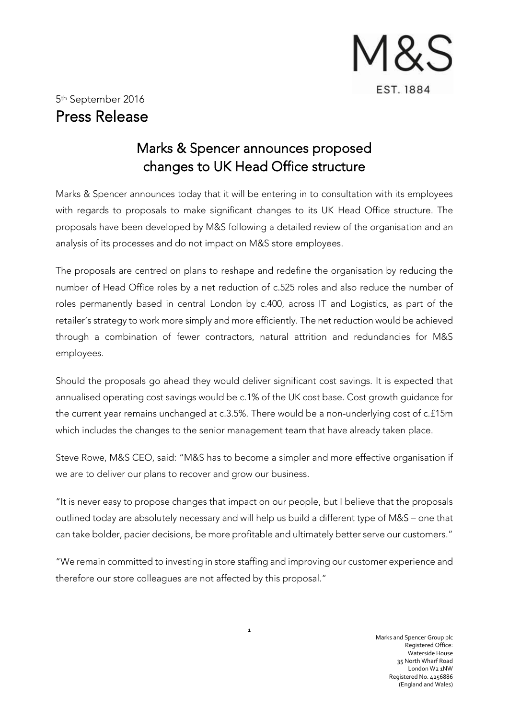

## Marks & Spencer announces proposed changes to UK Head Office structure

Marks & Spencer announces today that it will be entering in to consultation with its employees with regards to proposals to make significant changes to its UK Head Office structure. The proposals have been developed by M&S following a detailed review of the organisation and an analysis of its processes and do not impact on M&S store employees.

The proposals are centred on plans to reshape and redefine the organisation by reducing the number of Head Office roles by a net reduction of c.525 roles and also reduce the number of roles permanently based in central London by c.400, across IT and Logistics, as part of the retailer's strategy to work more simply and more efficiently. The net reduction would be achieved through a combination of fewer contractors, natural attrition and redundancies for M&S employees.

Should the proposals go ahead they would deliver significant cost savings. It is expected that annualised operating cost savings would be c.1% of the UK cost base. Cost growth guidance for the current year remains unchanged at c.3.5%. There would be a non-underlying cost of c.£15m which includes the changes to the senior management team that have already taken place.

Steve Rowe, M&S CEO, said: "M&S has to become a simpler and more effective organisation if we are to deliver our plans to recover and grow our business.

"It is never easy to propose changes that impact on our people, but I believe that the proposals outlined today are absolutely necessary and will help us build a different type of M&S – one that can take bolder, pacier decisions, be more profitable and ultimately better serve our customers."

"We remain committed to investing in store staffing and improving our customer experience and therefore our store colleagues are not affected by this proposal."